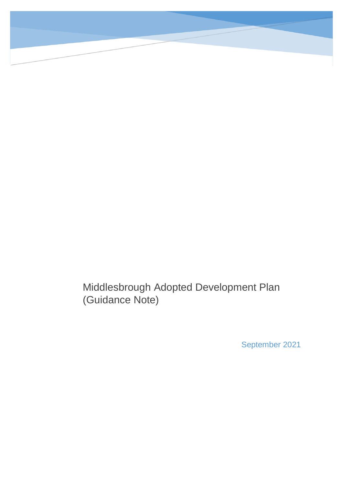Middlesbrough Adopted Development Plan (Guidance Note)

September 2021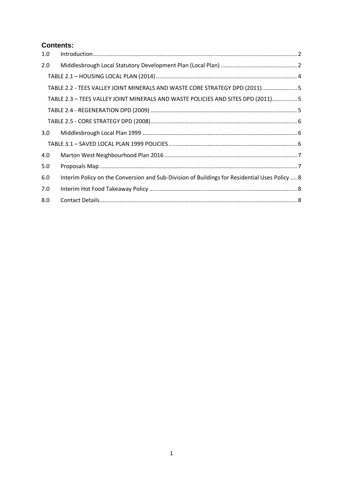# **Contents:**

| 1.0 |                                                                                               |  |
|-----|-----------------------------------------------------------------------------------------------|--|
| 2.0 |                                                                                               |  |
|     |                                                                                               |  |
|     | TABLE 2.2 - TEES VALLEY JOINT MINERALS AND WASTE CORE STRATEGY DPD (2011) 5                   |  |
|     | TABLE 2.3 - TEES VALLEY JOINT MINERALS AND WASTE POLICIES AND SITES DPD (2011) 5              |  |
|     |                                                                                               |  |
|     |                                                                                               |  |
| 3.0 |                                                                                               |  |
|     |                                                                                               |  |
| 4.0 |                                                                                               |  |
| 5.0 |                                                                                               |  |
| 6.0 | Interim Policy on the Conversion and Sub-Division of Buildings for Residential Uses Policy  8 |  |
| 7.0 |                                                                                               |  |
| 8.0 |                                                                                               |  |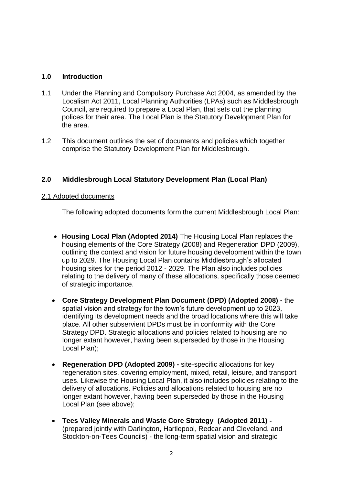## <span id="page-2-0"></span>**1.0 Introduction**

- 1.1 Under the Planning and Compulsory Purchase Act 2004, as amended by the Localism Act 2011, Local Planning Authorities (LPAs) such as Middlesbrough Council, are required to prepare a Local Plan, that sets out the planning polices for their area. The Local Plan is the Statutory Development Plan for the area.
- 1.2 This document outlines the set of documents and policies which together comprise the Statutory Development Plan for Middlesbrough.

# <span id="page-2-1"></span>**2.0 Middlesbrough Local Statutory Development Plan (Local Plan)**

# 2.1 Adopted documents

The following adopted documents form the current Middlesbrough Local Plan:

- **Housing Local Plan (Adopted 2014)** The Housing Local Plan replaces the housing elements of the Core Strategy (2008) and Regeneration DPD (2009), outlining the context and vision for future housing development within the town up to 2029. The Housing Local Plan contains Middlesbrough's allocated housing sites for the period 2012 - 2029. The Plan also includes policies relating to the delivery of many of these allocations, specifically those deemed of strategic importance.
- **Core Strategy Development Plan Document (DPD) (Adopted 2008) -** the spatial vision and strategy for the town's future development up to 2023, identifying its development needs and the broad locations where this will take place. All other subservient DPDs must be in conformity with the Core Strategy DPD. Strategic allocations and policies related to housing are no longer extant however, having been superseded by those in the Housing Local Plan);
- **Regeneration DPD (Adopted 2009) -** site-specific allocations for key regeneration sites, covering employment, mixed, retail, leisure, and transport uses. Likewise the Housing Local Plan, it also includes policies relating to the delivery of allocations. Policies and allocations related to housing are no longer extant however, having been superseded by those in the Housing Local Plan (see above);
- **Tees Valley Minerals and Waste Core Strategy (Adopted 2011) -** (prepared jointly with Darlington, Hartlepool, Redcar and Cleveland, and Stockton-on-Tees Councils) - the long-term spatial vision and strategic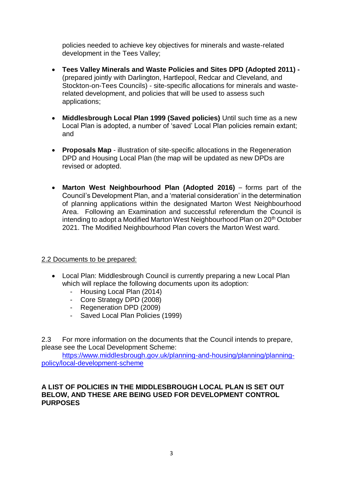policies needed to achieve key objectives for minerals and waste-related development in the Tees Valley;

- **Tees Valley Minerals and Waste Policies and Sites DPD (Adopted 2011) -** (prepared jointly with Darlington, Hartlepool, Redcar and Cleveland, and Stockton-on-Tees Councils) - site-specific allocations for minerals and wasterelated development, and policies that will be used to assess such applications;
- **Middlesbrough Local Plan 1999 (Saved policies)** Until such time as a new Local Plan is adopted, a number of 'saved' Local Plan policies remain extant; and
- **Proposals Map**  illustration of site-specific allocations in the Regeneration DPD and Housing Local Plan (the map will be updated as new DPDs are revised or adopted.
- **Marton West Neighbourhood Plan (Adopted 2016)** forms part of the Council's Development Plan, and a 'material consideration' in the determination of planning applications within the designated Marton West Neighbourhood Area. Following an Examination and successful referendum the Council is intending to adopt a Modified Marton West Neighbourhood Plan on 20<sup>th</sup> October 2021. The Modified Neighbourhood Plan covers the Marton West ward.

## 2.2 Documents to be prepared:

- Local Plan: Middlesbrough Council is currently preparing a new Local Plan which will replace the following documents upon its adoption:
	- Housing Local Plan (2014)
	- Core Strategy DPD (2008)
	- Regeneration DPD (2009)
	- Saved Local Plan Policies (1999)

2.3 For more information on the documents that the Council intends to prepare, please see the Local Development Scheme:

[https://www.middlesbrough.gov.uk/planning-and-housing/planning/planning](https://www.middlesbrough.gov.uk/planning-and-housing/planning/planning-policy/local-development-scheme)[policy/local-development-scheme](https://www.middlesbrough.gov.uk/planning-and-housing/planning/planning-policy/local-development-scheme)

## **A LIST OF POLICIES IN THE MIDDLESBROUGH LOCAL PLAN IS SET OUT BELOW, AND THESE ARE BEING USED FOR DEVELOPMENT CONTROL PURPOSES**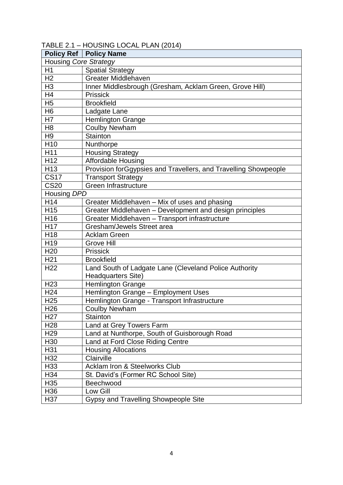<span id="page-4-1"></span>

|                                             | <b>Policy Ref   Policy Name</b>                                 |  |
|---------------------------------------------|-----------------------------------------------------------------|--|
| <b>Housing Core Strategy</b>                |                                                                 |  |
| H1                                          | <b>Spatial Strategy</b>                                         |  |
| H <sub>2</sub>                              | <b>Greater Middlehaven</b>                                      |  |
| H <sub>3</sub>                              | Inner Middlesbrough (Gresham, Acklam Green, Grove Hill)         |  |
| H4                                          | Prissick                                                        |  |
| H <sub>5</sub>                              | <b>Brookfield</b>                                               |  |
| H <sub>6</sub>                              | Ladgate Lane                                                    |  |
| H7                                          | Hemlington Grange                                               |  |
| H <sub>8</sub>                              | <b>Coulby Newham</b>                                            |  |
| H <sub>9</sub>                              | <b>Stainton</b>                                                 |  |
| H <sub>10</sub>                             | Nunthorpe                                                       |  |
| H11                                         | <b>Housing Strategy</b>                                         |  |
| H <sub>12</sub>                             | <b>Affordable Housing</b>                                       |  |
| H <sub>13</sub>                             | Provision forGgypsies and Travellers, and Travelling Showpeople |  |
| <b>CS17</b>                                 | <b>Transport Strategy</b>                                       |  |
| <b>CS20</b>                                 | <b>Green Infrastructure</b>                                     |  |
| Housing DPD                                 |                                                                 |  |
| H14                                         | Greater Middlehaven - Mix of uses and phasing                   |  |
| H <sub>15</sub>                             | Greater Middlehaven - Development and design principles         |  |
| H <sub>16</sub>                             | Greater Middlehaven - Transport infrastructure                  |  |
| H <sub>17</sub>                             | Gresham/Jewels Street area                                      |  |
| H <sub>18</sub>                             | <b>Acklam Green</b>                                             |  |
| H <sub>19</sub>                             | <b>Grove Hill</b>                                               |  |
| H <sub>20</sub>                             | Prissick                                                        |  |
| H <sub>21</sub>                             | <b>Brookfield</b>                                               |  |
| H <sub>22</sub>                             | Land South of Ladgate Lane (Cleveland Police Authority          |  |
|                                             | <b>Headquarters Site)</b>                                       |  |
| H <sub>23</sub>                             | <b>Hemlington Grange</b>                                        |  |
| H <sub>24</sub>                             | Hemlington Grange - Employment Uses                             |  |
| H <sub>25</sub>                             | Hemlington Grange - Transport Infrastructure                    |  |
| H <sub>26</sub>                             | <b>Coulby Newham</b>                                            |  |
| H <sub>27</sub>                             | <b>Stainton</b>                                                 |  |
| H <sub>28</sub>                             | and at Grey Towers Farm                                         |  |
| H <sub>29</sub>                             | Land at Nunthorpe, South of Guisborough Road                    |  |
| H30                                         | Land at Ford Close Riding Centre                                |  |
| H31                                         | <b>Housing Allocations</b>                                      |  |
| H <sub>32</sub>                             | Clairville                                                      |  |
| H33                                         | <b>Acklam Iron &amp; Steelworks Club</b>                        |  |
| H34                                         | St. David's (Former RC School Site)                             |  |
| H35                                         | Beechwood                                                       |  |
| H36                                         | Low Gill                                                        |  |
| Gypsy and Travelling Showpeople Site<br>H37 |                                                                 |  |

<span id="page-4-0"></span>TABLE 2.1 – HOUSING LOCAL PLAN (2014)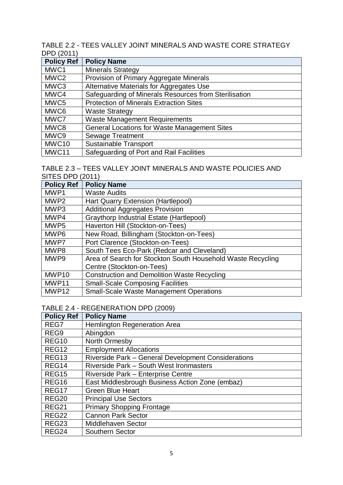TABLE 2.2 - TEES VALLEY JOINT MINERALS AND WASTE CORE STRATEGY DPD (2011)

| <b>Policy Ref</b>                | <b>Policy Name</b>                                    |
|----------------------------------|-------------------------------------------------------|
| <b>Minerals Strategy</b><br>MWC1 |                                                       |
| MWC <sub>2</sub>                 | Provision of Primary Aggregate Minerals               |
| MWC3                             | Alternative Materials for Aggregates Use              |
| MWC4                             | Safeguarding of Minerals Resources from Sterilisation |
| MWC5                             | <b>Protection of Minerals Extraction Sites</b>        |
| MWC6                             | <b>Waste Strategy</b>                                 |
| MWC7                             | <b>Waste Management Requirements</b>                  |
| MWC8                             | <b>General Locations for Waste Management Sites</b>   |
| MWC9                             | <b>Sewage Treatment</b>                               |
| MWC <sub>10</sub>                | <b>Sustainable Transport</b>                          |
| MWC11                            | Safeguarding of Port and Rail Facilities              |

<span id="page-5-0"></span>TABLE 2.3 – TEES VALLEY JOINT MINERALS AND WASTE POLICIES AND SITES DPD (2011)

| <b>Policy Ref</b> | <b>Policy Name</b>                                          |  |
|-------------------|-------------------------------------------------------------|--|
| MWP1              | <b>Waste Audits</b>                                         |  |
| MWP <sub>2</sub>  | Hart Quarry Extension (Hartlepool)                          |  |
| MWP3              | <b>Additional Aggregates Provision</b>                      |  |
| MWP4              | <b>Graythorp Industrial Estate (Hartlepool)</b>             |  |
| MWP <sub>5</sub>  | Haverton Hill (Stockton-on-Tees)                            |  |
| MWP6              | New Road, Billingham (Stockton-on-Tees)                     |  |
| MWP7              | Port Clarence (Stockton-on-Tees)                            |  |
| MWP8              | South Tees Eco-Park (Redcar and Cleveland)                  |  |
| MWP <sub>9</sub>  | Area of Search for Stockton South Household Waste Recycling |  |
|                   | Centre (Stockton-on-Tees)                                   |  |
| MWP <sub>10</sub> | <b>Construction and Demolition Waste Recycling</b>          |  |
| MWP11             | <b>Small-Scale Composing Facilities</b>                     |  |
| MWP12             | <b>Small-Scale Waste Management Operations</b>              |  |

<span id="page-5-1"></span>TABLE 2.4 - REGENERATION DPD (2009)

| <b>Policy Ref</b> | <b>Policy Name</b>                                  |  |
|-------------------|-----------------------------------------------------|--|
| REG7              | Hemlington Regeneration Area                        |  |
| REG9              | Abingdon                                            |  |
| REG <sub>10</sub> | North Ormesby                                       |  |
| REG <sub>12</sub> | <b>Employment Allocations</b>                       |  |
| REG <sub>13</sub> | Riverside Park - General Development Considerations |  |
| REG14             | Riverside Park - South West Ironmasters             |  |
| REG15             | Riverside Park - Enterprise Centre                  |  |
| REG16             | East Middlesbrough Business Action Zone (embaz)     |  |
| REG17             | <b>Green Blue Heart</b>                             |  |
| REG <sub>20</sub> | <b>Principal Use Sectors</b>                        |  |
| REG21             | <b>Primary Shopping Frontage</b>                    |  |
| REG22             | <b>Cannon Park Sector</b>                           |  |
| REG23             | <b>Middlehaven Sector</b>                           |  |
| REG24             | <b>Southern Sector</b>                              |  |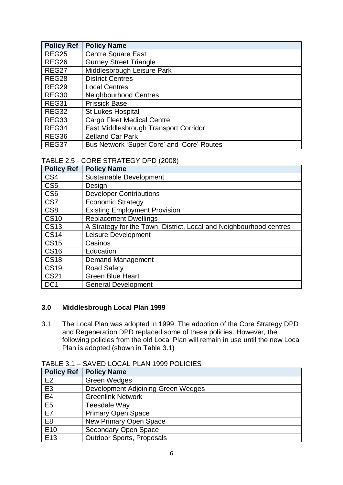| <b>Policy Ref</b> | <b>Policy Name</b>                         |  |
|-------------------|--------------------------------------------|--|
| REG25             | <b>Centre Square East</b>                  |  |
| REG26             | <b>Gurney Street Triangle</b>              |  |
| REG27             | Middlesbrough Leisure Park                 |  |
| REG28             | <b>District Centres</b>                    |  |
| REG29             | <b>Local Centres</b>                       |  |
| REG30             | <b>Neighbourhood Centres</b>               |  |
| REG31             | <b>Prissick Base</b>                       |  |
| REG32             | <b>St Lukes Hospital</b>                   |  |
| REG33             | <b>Cargo Fleet Medical Centre</b>          |  |
| REG34             | East Middlesbrough Transport Corridor      |  |
| REG36             | <b>Zetland Car Park</b>                    |  |
| REG37             | Bus Network 'Super Core' and 'Core' Routes |  |

## <span id="page-6-0"></span>TABLE 2.5 - CORE STRATEGY DPD (2008)

| <b>Policy Ref</b> | <b>Policy Name</b>                                                 |
|-------------------|--------------------------------------------------------------------|
| CS <sub>4</sub>   | Sustainable Development                                            |
| CS <sub>5</sub>   | Design                                                             |
| CS <sub>6</sub>   | <b>Developer Contributions</b>                                     |
| CS7               | <b>Economic Strategy</b>                                           |
| CS <sub>8</sub>   | <b>Existing Employment Provision</b>                               |
| <b>CS10</b>       | <b>Replacement Dwellings</b>                                       |
| <b>CS13</b>       | A Strategy for the Town, District, Local and Neighbourhood centres |
| <b>CS14</b>       | <b>Leisure Development</b>                                         |
| <b>CS15</b>       | Casinos                                                            |
| <b>CS16</b>       | Education                                                          |
| <b>CS18</b>       | <b>Demand Management</b>                                           |
| <b>CS19</b>       | <b>Road Safety</b>                                                 |
| <b>CS21</b>       | <b>Green Blue Heart</b>                                            |
| DC <sub>1</sub>   | <b>General Development</b>                                         |

# <span id="page-6-1"></span>**3.0 Middlesbrough Local Plan 1999**

3.1 The Local Plan was adopted in 1999. The adoption of the Core Strategy DPD and Regeneration DPD replaced some of these policies. However, the following policies from the old Local Plan will remain in use until the new Local Plan is adopted (shown in Table 3.1)

# <span id="page-6-2"></span>TABLE 3.1 – SAVED LOCAL PLAN 1999 POLICIES

| <b>Policy Ref</b> | <b>Policy Name</b>                 |
|-------------------|------------------------------------|
| E <sub>2</sub>    | <b>Green Wedges</b>                |
| E3                | Development Adjoining Green Wedges |
| E4                | <b>Greenlink Network</b>           |
| E5                | <b>Teesdale Way</b>                |
| E7                | <b>Primary Open Space</b>          |
| E <sub>8</sub>    | New Primary Open Space             |
| E10               | Secondary Open Space               |
| E13               | <b>Outdoor Sports, Proposals</b>   |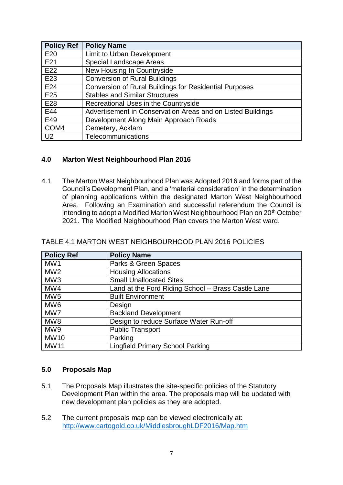| <b>Policy Ref</b> | <b>Policy Name</b>                                            |
|-------------------|---------------------------------------------------------------|
| E20               | Limit to Urban Development                                    |
| E21               | <b>Special Landscape Areas</b>                                |
| E22               | New Housing In Countryside                                    |
| E23               | <b>Conversion of Rural Buildings</b>                          |
| E24               | <b>Conversion of Rural Buildings for Residential Purposes</b> |
| E <sub>25</sub>   | <b>Stables and Similar Structures</b>                         |
| E28               | Recreational Uses in the Countryside                          |
| E44               | Advertisement in Conservation Areas and on Listed Buildings   |
| E49               | Development Along Main Approach Roads                         |
| COM <sub>4</sub>  | Cemetery, Acklam                                              |
| U <sub>2</sub>    | Telecommunications                                            |

# <span id="page-7-0"></span>**4.0 Marton West Neighbourhood Plan 2016**

4.1 The Marton West Neighbourhood Plan was Adopted 2016 and forms part of the Council's Development Plan, and a 'material consideration' in the determination of planning applications within the designated Marton West Neighbourhood Area. Following an Examination and successful referendum the Council is intending to adopt a Modified Marton West Neighbourhood Plan on 20<sup>th</sup> October 2021. The Modified Neighbourhood Plan covers the Marton West ward.

| <b>Policy Ref</b> | <b>Policy Name</b>                                 |
|-------------------|----------------------------------------------------|
| MW <sub>1</sub>   | Parks & Green Spaces                               |
| MW2               | <b>Housing Allocations</b>                         |
| MW <sub>3</sub>   | <b>Small Unallocated Sites</b>                     |
| MW4               | Land at the Ford Riding School – Brass Castle Lane |
| MW <sub>5</sub>   | <b>Built Environment</b>                           |
| MW <sub>6</sub>   | Design                                             |
| MW7               | <b>Backland Development</b>                        |
| MW <sub>8</sub>   | Design to reduce Surface Water Run-off             |
| MW9               | <b>Public Transport</b>                            |
| <b>MW10</b>       | Parking                                            |
| <b>MW11</b>       | <b>Lingfield Primary School Parking</b>            |

## TABLE 4.1 MARTON WEST NEIGHBOURHOOD PLAN 2016 POLICIES

## <span id="page-7-1"></span>**5.0 Proposals Map**

- 5.1 The Proposals Map illustrates the site-specific policies of the Statutory Development Plan within the area. The proposals map will be updated with new development plan policies as they are adopted.
- 5.2 The current proposals map can be viewed electronically at: <http://www.cartogold.co.uk/MiddlesbroughLDF2016/Map.htm>